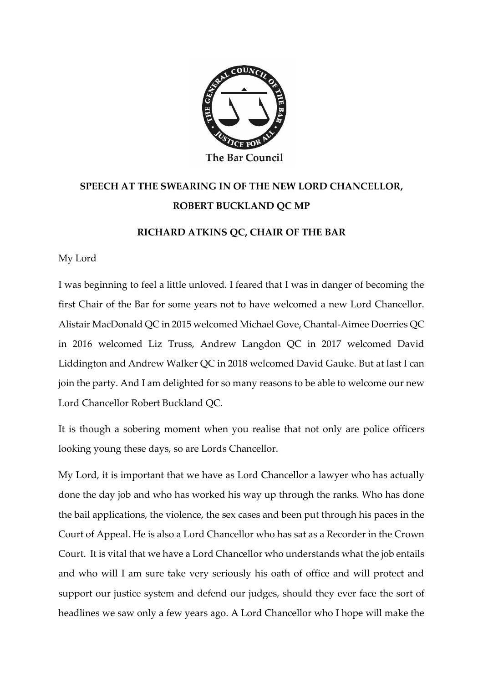

## **SPEECH AT THE SWEARING IN OF THE NEW LORD CHANCELLOR, ROBERT BUCKLAND QC MP**

## **RICHARD ATKINS QC, CHAIR OF THE BAR**

My Lord

I was beginning to feel a little unloved. I feared that I was in danger of becoming the first Chair of the Bar for some years not to have welcomed a new Lord Chancellor. Alistair MacDonald QC in 2015 welcomed Michael Gove, Chantal-Aimee Doerries QC in 2016 welcomed Liz Truss, Andrew Langdon QC in 2017 welcomed David Liddington and Andrew Walker QC in 2018 welcomed David Gauke. But at last I can join the party. And I am delighted for so many reasons to be able to welcome our new Lord Chancellor Robert Buckland QC.

It is though a sobering moment when you realise that not only are police officers looking young these days, so are Lords Chancellor.

My Lord, it is important that we have as Lord Chancellor a lawyer who has actually done the day job and who has worked his way up through the ranks. Who has done the bail applications, the violence, the sex cases and been put through his paces in the Court of Appeal. He is also a Lord Chancellor who has sat as a Recorder in the Crown Court. It is vital that we have a Lord Chancellor who understands what the job entails and who will I am sure take very seriously his oath of office and will protect and support our justice system and defend our judges, should they ever face the sort of headlines we saw only a few years ago. A Lord Chancellor who I hope will make the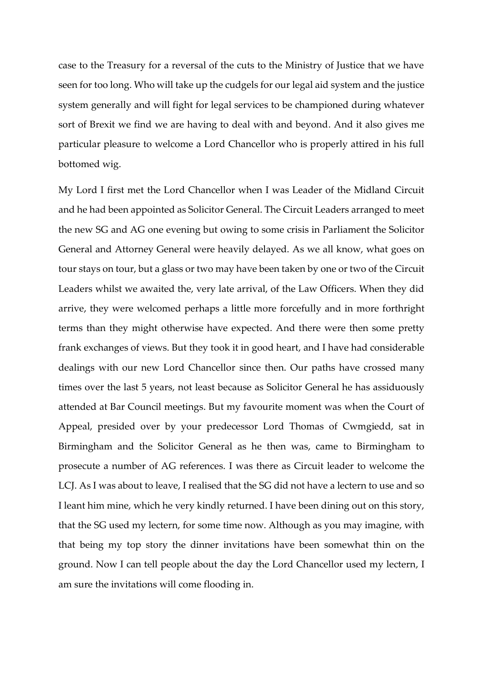case to the Treasury for a reversal of the cuts to the Ministry of Justice that we have seen for too long. Who will take up the cudgels for our legal aid system and the justice system generally and will fight for legal services to be championed during whatever sort of Brexit we find we are having to deal with and beyond. And it also gives me particular pleasure to welcome a Lord Chancellor who is properly attired in his full bottomed wig.

My Lord I first met the Lord Chancellor when I was Leader of the Midland Circuit and he had been appointed as Solicitor General. The Circuit Leaders arranged to meet the new SG and AG one evening but owing to some crisis in Parliament the Solicitor General and Attorney General were heavily delayed. As we all know, what goes on tour stays on tour, but a glass or two may have been taken by one or two of the Circuit Leaders whilst we awaited the, very late arrival, of the Law Officers. When they did arrive, they were welcomed perhaps a little more forcefully and in more forthright terms than they might otherwise have expected. And there were then some pretty frank exchanges of views. But they took it in good heart, and I have had considerable dealings with our new Lord Chancellor since then. Our paths have crossed many times over the last 5 years, not least because as Solicitor General he has assiduously attended at Bar Council meetings. But my favourite moment was when the Court of Appeal, presided over by your predecessor Lord Thomas of Cwmgiedd, sat in Birmingham and the Solicitor General as he then was, came to Birmingham to prosecute a number of AG references. I was there as Circuit leader to welcome the LCJ. As I was about to leave, I realised that the SG did not have a lectern to use and so I leant him mine, which he very kindly returned. I have been dining out on this story, that the SG used my lectern, for some time now. Although as you may imagine, with that being my top story the dinner invitations have been somewhat thin on the ground. Now I can tell people about the day the Lord Chancellor used my lectern, I am sure the invitations will come flooding in.